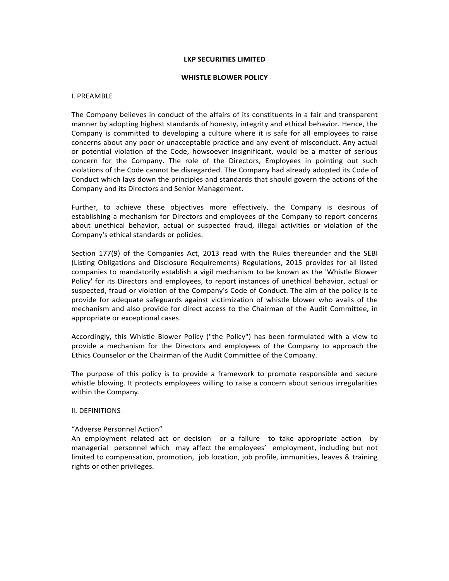### **LKP SECURITIES LIMITED**

#### **WHISTLE BLOWER POLICY**

#### I. PREAMBLE

The Company believes in conduct of the affairs of its constituents in a fair and transparent manner by adopting highest standards of honesty, integrity and ethical behavior. Hence, the Company is committed to developing a culture where it is safe for all employees to raise concerns about any poor or unacceptable practice and any event of misconduct. Any actual or potential violation of the Code, howsoever insignificant, would be a matter of serious concern for the Company. The role of the Directors, Employees in pointing out such violations of the Code cannot be disregarded. The Company had already adopted its Code of Conduct which lays down the principles and standards that should govern the actions of the Company and its Directors and Senior Management.

Further, to achieve these objectives more effectively, the Company is desirous of establishing a mechanism for Directors and employees of the Company to report concerns about unethical behavior, actual or suspected fraud, illegal activities or violation of the Company's ethical standards or policies.

Section 177(9) of the Companies Act, 2013 read with the Rules thereunder and the SEBI (Listing Obligations and Disclosure Requirements) Regulations, 2015 provides for all listed companies to mandatorily establish a vigil mechanism to be known as the 'Whistle Blower Policy' for its Directors and employees, to report instances of unethical behavior, actual or suspected, fraud or violation of the Company's Code of Conduct. The aim of the policy is to provide for adequate safeguards against victimization of whistle blower who avails of the mechanism and also provide for direct access to the Chairman of the Audit Committee, in appropriate or exceptional cases.

Accordingly, this Whistle Blower Policy ("the Policy") has been formulated with a view to provide a mechanism for the Directors and employees of the Company to approach the Ethics Counselor or the Chairman of the Audit Committee of the Company.

The purpose of this policy is to provide a framework to promote responsible and secure whistle blowing. It protects employees willing to raise a concern about serious irregularities within the Company.

### II. DEFINITIONS

### "Adverse Personnel Action"

An employment related act or decision or a failure to take appropriate action by managerial personnel which may affect the employees' employment, including but not limited to compensation, promotion, job location, job profile, immunities, leaves & training rights or other privileges.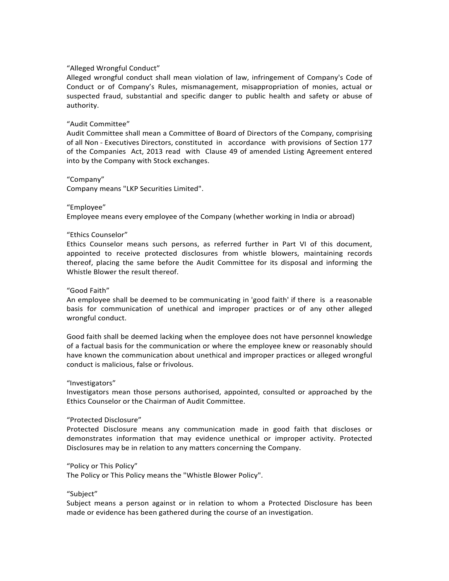## "Alleged Wrongful Conduct"

Alleged wrongful conduct shall mean violation of law, infringement of Company's Code of Conduct or of Company's Rules, mismanagement, misappropriation of monies, actual or suspected fraud, substantial and specific danger to public health and safety or abuse of authority.

### "Audit Committee"

Audit Committee shall mean a Committee of Board of Directors of the Company, comprising of all Non ‐ Executives Directors, constituted in accordance with provisions of Section 177 of the Companies Act, 2013 read with Clause 49 of amended Listing Agreement entered into by the Company with Stock exchanges.

### "Company"

Company means "LKP Securities Limited".

### "Employee"

Employee means every employee of the Company (whether working in India or abroad)

#### "Ethics Counselor"

Ethics Counselor means such persons, as referred further in Part VI of this document, appointed to receive protected disclosures from whistle blowers, maintaining records thereof, placing the same before the Audit Committee for its disposal and informing the Whistle Blower the result thereof.

## "Good Faith"

An employee shall be deemed to be communicating in 'good faith' if there is a reasonable basis for communication of unethical and improper practices or of any other alleged wrongful conduct.

Good faith shall be deemed lacking when the employee does not have personnel knowledge of a factual basis for the communication or where the employee knew or reasonably should have known the communication about unethical and improper practices or alleged wrongful conduct is malicious, false or frivolous.

#### "Investigators"

Investigators mean those persons authorised, appointed, consulted or approached by the Ethics Counselor or the Chairman of Audit Committee.

# "Protected Disclosure"

Protected Disclosure means any communication made in good faith that discloses or demonstrates information that may evidence unethical or improper activity. Protected Disclosures may be in relation to any matters concerning the Company.

#### "Policy or This Policy"

The Policy or This Policy means the "Whistle Blower Policy".

#### "Subject"

Subject means a person against or in relation to whom a Protected Disclosure has been made or evidence has been gathered during the course of an investigation.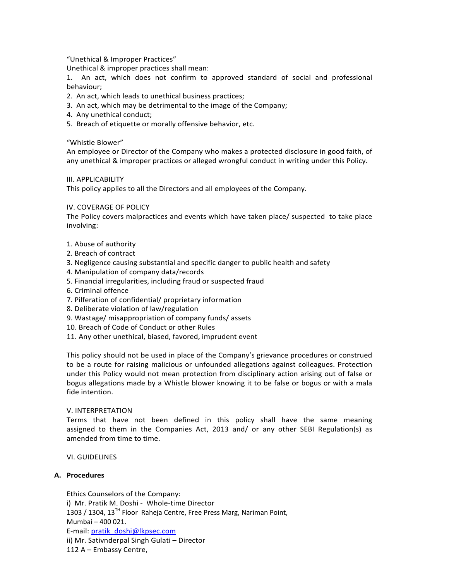"Unethical & Improper Practices"

Unethical & improper practices shall mean:

1. An act, which does not confirm to approved standard of social and professional behaviour;

- 2. An act, which leads to unethical business practices;
- 3. An act, which may be detrimental to the image of the Company;
- 4. Any unethical conduct;
- 5. Breach of etiquette or morally offensive behavior, etc.

"Whistle Blower"

An employee or Director of the Company who makes a protected disclosure in good faith, of any unethical & improper practices or alleged wrongful conduct in writing under this Policy.

III. APPLICABILITY

This policy applies to all the Directors and all employees of the Company.

### IV. COVERAGE OF POLICY

The Policy covers malpractices and events which have taken place/ suspected to take place involving:

- 1. Abuse of authority
- 2. Breach of contract
- 3. Negligence causing substantial and specific danger to public health and safety
- 4. Manipulation of company data/records
- 5. Financial irregularities, including fraud or suspected fraud
- 6. Criminal offence
- 7. Pilferation of confidential/ proprietary information
- 8. Deliberate violation of law/regulation
- 9. Wastage/ misappropriation of company funds/ assets
- 10. Breach of Code of Conduct or other Rules
- 11. Any other unethical, biased, favored, imprudent event

This policy should not be used in place of the Company's grievance procedures or construed to be a route for raising malicious or unfounded allegations against colleagues. Protection under this Policy would not mean protection from disciplinary action arising out of false or bogus allegations made by a Whistle blower knowing it to be false or bogus or with a mala fide intention.

## V. INTERPRETATION

Terms that have not been defined in this policy shall have the same meaning assigned to them in the Companies Act, 2013 and/ or any other SEBI Regulation(s) as amended from time to time.

VI. GUIDELINES

## **A. Procedures**

Ethics Counselors of the Company: i) Mr. Pratik M. Doshi - Whole-time Director 1303 / 1304, 13<sup>TH</sup> Floor Raheja Centre, Free Press Marg, Nariman Point, Mumbai – 400 021. E‐mail: pratik\_doshi@lkpsec.com ii) Mr. Sativnderpal Singh Gulati – Director 112 A – Embassy Centre,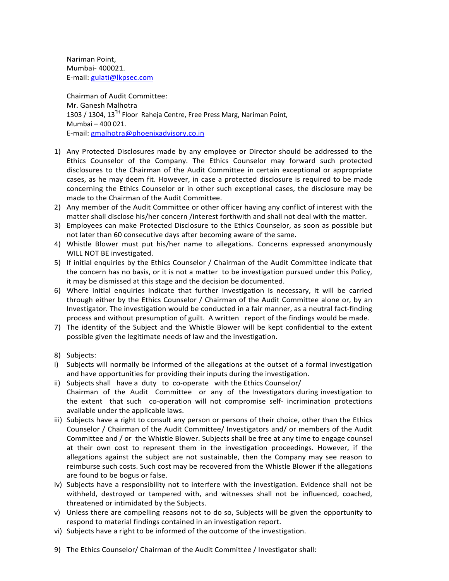Nariman Point, Mumbai‐ 400021. E‐mail: gulati@lkpsec.com

Chairman of Audit Committee: Mr. Ganesh Malhotra 1303 / 1304, 13<sup>TH</sup> Floor Raheja Centre, Free Press Marg, Nariman Point, Mumbai – 400 021. E‐mail: gmalhotra@phoenixadvisory.co.in

- 1) Any Protected Disclosures made by any employee or Director should be addressed to the Ethics Counselor of the Company. The Ethics Counselor may forward such protected disclosures to the Chairman of the Audit Committee in certain exceptional or appropriate cases, as he may deem fit. However, in case a protected disclosure is required to be made concerning the Ethics Counselor or in other such exceptional cases, the disclosure may be made to the Chairman of the Audit Committee.
- 2) Any member of the Audit Committee or other officer having any conflict of interest with the matter shall disclose his/her concern /interest forthwith and shall not deal with the matter.
- 3) Employees can make Protected Disclosure to the Ethics Counselor, as soon as possible but not later than 60 consecutive days after becoming aware of the same.
- 4) Whistle Blower must put his/her name to allegations. Concerns expressed anonymously WILL NOT BE investigated.
- 5) If initial enquiries by the Ethics Counselor / Chairman of the Audit Committee indicate that the concern has no basis, or it is not a matter to be investigation pursued under this Policy, it may be dismissed at this stage and the decision be documented.
- 6) Where initial enquiries indicate that further investigation is necessary, it will be carried through either by the Ethics Counselor / Chairman of the Audit Committee alone or, by an Investigator. The investigation would be conducted in a fair manner, as a neutral fact‐finding process and without presumption of guilt. A written report of the findings would be made.
- 7) The identity of the Subject and the Whistle Blower will be kept confidential to the extent possible given the legitimate needs of law and the investigation.
- 8) Subjects:
- i) Subjects will normally be informed of the allegations at the outset of a formal investigation and have opportunities for providing their inputs during the investigation.
- ii) Subjects shall have a duty to co-operate with the Ethics Counselor/ Chairman of the Audit Committee or any of the Investigators during investigation to the extent that such co-operation will not compromise self- incrimination protections available under the applicable laws.
- iii) Subjects have a right to consult any person or persons of their choice, other than the Ethics Counselor / Chairman of the Audit Committee/ Investigators and/ or members of the Audit Committee and / or the Whistle Blower. Subjects shall be free at any time to engage counsel at their own cost to represent them in the investigation proceedings. However, if the allegations against the subject are not sustainable, then the Company may see reason to reimburse such costs. Such cost may be recovered from the Whistle Blower if the allegations are found to be bogus or false.
- iv) Subjects have a responsibility not to interfere with the investigation. Evidence shall not be withheld, destroyed or tampered with, and witnesses shall not be influenced, coached, threatened or intimidated by the Subjects.
- v) Unless there are compelling reasons not to do so, Subjects will be given the opportunity to respond to material findings contained in an investigation report.
- vi) Subjects have a right to be informed of the outcome of the investigation.
- 9) The Ethics Counselor/ Chairman of the Audit Committee / Investigator shall: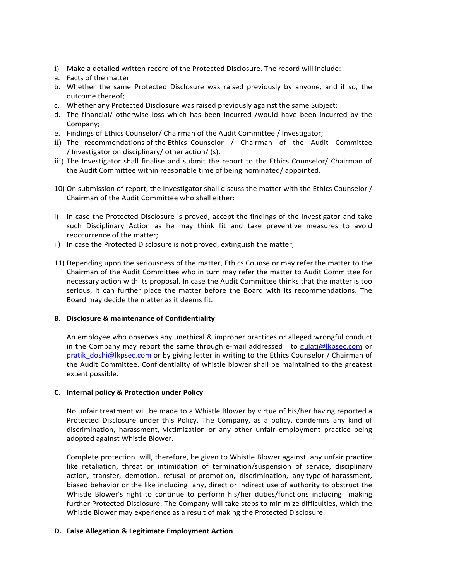- i) Make a detailed written record of the Protected Disclosure. The record will include:
- a. Facts of the matter
- b. Whether the same Protected Disclosure was raised previously by anyone, and if so, the outcome thereof;
- c. Whether any Protected Disclosure was raised previously against the same Subject;
- d. The financial/ otherwise loss which has been incurred /would have been incurred by the Company;
- e. Findings of Ethics Counselor/ Chairman of the Audit Committee / Investigator;
- ii) The recommendations of the Ethics Counselor / Chairman of the Audit Committee / Investigator on disciplinary/ other action/ (s).
- iii) The Investigator shall finalise and submit the report to the Ethics Counselor/ Chairman of the Audit Committee within reasonable time of being nominated/ appointed.
- 10) On submission of report, the Investigator shall discuss the matter with the Ethics Counselor / Chairman of the Audit Committee who shall either:
- i) In case the Protected Disclosure is proved, accept the findings of the Investigator and take such Disciplinary Action as he may think fit and take preventive measures to avoid reoccurrence of the matter;
- ii) In case the Protected Disclosure is not proved, extinguish the matter;
- 11) Depending upon the seriousness of the matter, Ethics Counselor may refer the matter to the Chairman of the Audit Committee who in turn may refer the matter to Audit Committee for necessary action with its proposal. In case the Audit Committee thinks that the matter is too serious, it can further place the matter before the Board with its recommendations. The Board may decide the matter as it deems fit.

## **B. Disclosure & maintenance of Confidentiality**

An employee who observes any unethical & improper practices or alleged wrongful conduct in the Company may report the same through e-mail addressed to gulati@lkpsec.com or pratik\_doshi@lkpsec.com or by giving letter in writing to the Ethics Counselor / Chairman of the Audit Committee. Confidentiality of whistle blower shall be maintained to the greatest extent possible.

## **C. Internal policy & Protection under Policy**

No unfair treatment will be made to a Whistle Blower by virtue of his/her having reported a Protected Disclosure under this Policy. The Company, as a policy, condemns any kind of discrimination, harassment, victimization or any other unfair employment practice being adopted against Whistle Blower.

Complete protection will, therefore, be given to Whistle Blower against any unfair practice like retaliation, threat or intimidation of termination/suspension of service, disciplinary action, transfer, demotion, refusal of promotion, discrimination, any type of harassment, biased behavior or the like including any, direct or indirect use of authority to obstruct the Whistle Blower's right to continue to perform his/her duties/functions including making further Protected Disclosure. The Company will take steps to minimize difficulties, which the Whistle Blower may experience as a result of making the Protected Disclosure.

## **D. False Allegation & Legitimate Employment Action**